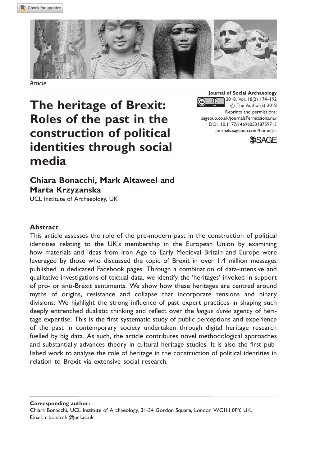

Article

# The heritage of Brexit: Roles of the past in the construction of political identities through social media

Journal of Social Archaeology  $\sqrt{2018}$ , Vol. 18(2) 174–192  $\bigcirc$ (C) The Author(s) 2018 Reprints and permissions: sagepub.co.uk/journalsPermissions.nav DOI: 10.1177/1469605318759713 <journals.sagepub.com/home/jsa>



# Chiara Bonacchi, Mark Altaweel and Marta Krzyzanska

UCL Institute of Archaeology, UK

#### Abstract

This article assesses the role of the pre-modern past in the construction of political identities relating to the UK's membership in the European Union by examining how materials and ideas from Iron Age to Early Medieval Britain and Europe were leveraged by those who discussed the topic of Brexit in over 1.4 million messages published in dedicated Facebook pages. Through a combination of data-intensive and qualitative investigations of textual data, we identify the 'heritages' invoked in support of pro- or anti-Brexit sentiments. We show how these heritages are centred around myths of origins, resistance and collapse that incorporate tensions and binary divisions. We highlight the strong influence of past expert practices in shaping such deeply entrenched dualistic thinking and reflect over the longue durée agency of heritage expertise. This is the first systematic study of public perceptions and experience of the past in contemporary society undertaken through digital heritage research fuelled by big data. As such, the article contributes novel methodological approaches and substantially advances theory in cultural heritage studies. It is also the first published work to analyse the role of heritage in the construction of political identities in relation to Brexit via extensive social research.

Corresponding author:

Chiara Bonacchi, UCL Institute of Archaeology, 31-34 Gordon Square, London WC1H 0PY, UK. Email: c.bonacchi@ucl.ac.uk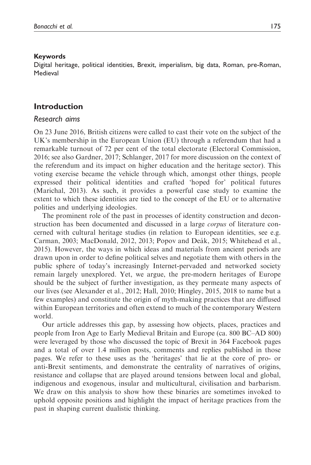#### Keywords

Digital heritage, political identities, Brexit, imperialism, big data, Roman, pre-Roman, Medieval

#### Introduction

#### Research aims

On 23 June 2016, British citizens were called to cast their vote on the subject of the UK's membership in the European Union (EU) through a referendum that had a remarkable turnout of 72 per cent of the total electorate (Electoral Commission, 2016; see also Gardner, 2017; Schlanger, 2017 for more discussion on the context of the referendum and its impact on higher education and the heritage sector). This voting exercise became the vehicle through which, amongst other things, people expressed their political identities and crafted 'hoped for' political futures (Marichal, 2013). As such, it provides a powerful case study to examine the extent to which these identities are tied to the concept of the EU or to alternative polities and underlying ideologies.

The prominent role of the past in processes of identity construction and deconstruction has been documented and discussed in a large corpus of literature concerned with cultural heritage studies (in relation to European identities, see e.g. Carman, 2003; MacDonald, 2012, 2013; Popov and Deák, 2015; Whitehead et al., 2015). However, the ways in which ideas and materials from ancient periods are drawn upon in order to define political selves and negotiate them with others in the public sphere of today's increasingly Internet-pervaded and networked society remain largely unexplored. Yet, we argue, the pre-modern heritages of Europe should be the subject of further investigation, as they permeate many aspects of our lives (see Alexander et al., 2012; Hall, 2010; Hingley, 2015, 2018 to name but a few examples) and constitute the origin of myth-making practices that are diffused within European territories and often extend to much of the contemporary Western world.

Our article addresses this gap, by assessing how objects, places, practices and people from Iron Age to Early Medieval Britain and Europe (ca. 800 BC–AD 800) were leveraged by those who discussed the topic of Brexit in 364 Facebook pages and a total of over 1.4 million posts, comments and replies published in those pages. We refer to these uses as the 'heritages' that lie at the core of pro- or anti-Brexit sentiments, and demonstrate the centrality of narratives of origins, resistance and collapse that are played around tensions between local and global, indigenous and exogenous, insular and multicultural, civilisation and barbarism. We draw on this analysis to show how these binaries are sometimes invoked to uphold opposite positions and highlight the impact of heritage practices from the past in shaping current dualistic thinking.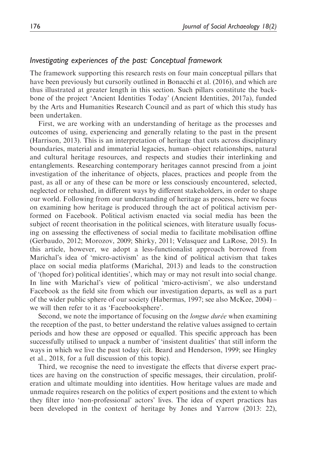# Investigating experiences of the past: Conceptual framework

The framework supporting this research rests on four main conceptual pillars that have been previously but cursorily outlined in Bonacchi et al. (2016), and which are thus illustrated at greater length in this section. Such pillars constitute the backbone of the project 'Ancient Identities Today' (Ancient Identities, 2017a), funded by the Arts and Humanities Research Council and as part of which this study has been undertaken.

First, we are working with an understanding of heritage as the processes and outcomes of using, experiencing and generally relating to the past in the present (Harrison, 2013). This is an interpretation of heritage that cuts across disciplinary boundaries, material and immaterial legacies, human–object relationships, natural and cultural heritage resources, and respects and studies their interlinking and entanglements. Researching contemporary heritages cannot prescind from a joint investigation of the inheritance of objects, places, practices and people from the past, as all or any of these can be more or less consciously encountered, selected, neglected or rehashed, in different ways by different stakeholders, in order to shape our world. Following from our understanding of heritage as process, here we focus on examining how heritage is produced through the act of political activism performed on Facebook. Political activism enacted via social media has been the subject of recent theorisation in the political sciences, with literature usually focusing on assessing the effectiveness of social media to facilitate mobilisation offline (Gerbaudo, 2012; Morozov, 2009; Shirky, 2011; Velasquez and LaRose, 2015). In this article, however, we adopt a less-functionalist approach borrowed from Marichal's idea of 'micro-activism' as the kind of political activism that takes place on social media platforms (Marichal, 2013) and leads to the construction of '(hoped for) political identities', which may or may not result into social change. In line with Marichal's view of political 'micro-activism', we also understand Facebook as the field site from which our investigation departs, as well as a part of the wider public sphere of our society (Habermas, 1997; see also McKee, 2004) – we will then refer to it as 'Facebooksphere'.

Second, we note the importance of focusing on the *longue durée* when examining the reception of the past, to better understand the relative values assigned to certain periods and how these are opposed or equalled. This specific approach has been successfully utilised to unpack a number of 'insistent dualities' that still inform the ways in which we live the past today (cit. Beard and Henderson, 1999; see Hingley et al., 2018, for a full discussion of this topic).

Third, we recognise the need to investigate the effects that diverse expert practices are having on the construction of specific messages, their circulation, proliferation and ultimate moulding into identities. How heritage values are made and unmade requires research on the politics of expert positions and the extent to which they filter into 'non-professional' actors' lives. The idea of expert practices has been developed in the context of heritage by Jones and Yarrow (2013: 22),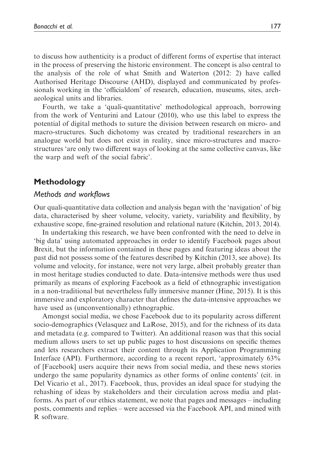to discuss how authenticity is a product of different forms of expertise that interact in the process of preserving the historic environment. The concept is also central to the analysis of the role of what Smith and Waterton (2012: 2) have called Authorised Heritage Discourse (AHD), displayed and communicated by professionals working in the 'officialdom' of research, education, museums, sites, archaeological units and libraries.

Fourth, we take a 'quali-quantitative' methodological approach, borrowing from the work of Venturini and Latour (2010), who use this label to express the potential of digital methods to suture the division between research on micro- and macro-structures. Such dichotomy was created by traditional researchers in an analogue world but does not exist in reality, since micro-structures and macrostructures 'are only two different ways of looking at the same collective canvas, like the warp and weft of the social fabric'.

# Methodology

#### Methods and workflows

Our quali-quantitative data collection and analysis began with the 'navigation' of big data, characterised by sheer volume, velocity, variety, variability and flexibility, by exhaustive scope, fine-grained resolution and relational nature (Kitchin, 2013, 2014).

In undertaking this research, we have been confronted with the need to delve in 'big data' using automated approaches in order to identify Facebook pages about Brexit, but the information contained in these pages and featuring ideas about the past did not possess some of the features described by Kitchin (2013, see above). Its volume and velocity, for instance, were not very large, albeit probably greater than in most heritage studies conducted to date. Data-intensive methods were thus used primarily as means of exploring Facebook as a field of ethnographic investigation in a non-traditional but nevertheless fully immersive manner (Hine, 2015). It is this immersive and exploratory character that defines the data-intensive approaches we have used as (unconventionally) ethnographic.

Amongst social media, we chose Facebook due to its popularity across different socio-demographics (Velasquez and LaRose, 2015), and for the richness of its data and metadata (e.g. compared to Twitter). An additional reason was that this social medium allows users to set up public pages to host discussions on specific themes and lets researchers extract their content through its Application Programming Interface (API). Furthermore, according to a recent report, 'approximately 63% of [Facebook] users acquire their news from social media, and these news stories undergo the same popularity dynamics as other forms of online contents' (cit. in Del Vicario et al., 2017). Facebook, thus, provides an ideal space for studying the rehashing of ideas by stakeholders and their circulation across media and platforms. As part of our ethics statement, we note that pages and messages – including posts, comments and replies – were accessed via the Facebook API, and mined with R software.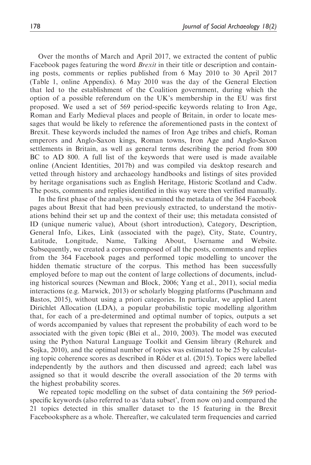Over the months of March and April 2017, we extracted the content of public Facebook pages featuring the word *Brexit* in their title or description and containing posts, comments or replies published from 6 May 2010 to 30 April 2017 (Table 1, online Appendix). 6 May 2010 was the day of the General Election that led to the establishment of the Coalition government, during which the option of a possible referendum on the UK's membership in the EU was first proposed. We used a set of 569 period-specific keywords relating to Iron Age, Roman and Early Medieval places and people of Britain, in order to locate messages that would be likely to reference the aforementioned pasts in the context of Brexit. These keywords included the names of Iron Age tribes and chiefs, Roman emperors and Anglo-Saxon kings, Roman towns, Iron Age and Anglo-Saxon settlements in Britain, as well as general terms describing the period from 800 BC to AD 800. A full list of the keywords that were used is made available online (Ancient Identities, 2017b) and was compiled via desktop research and vetted through history and archaeology handbooks and listings of sites provided by heritage organisations such as English Heritage, Historic Scotland and Cadw. The posts, comments and replies identified in this way were then verified manually.

In the first phase of the analysis, we examined the metadata of the 364 Facebook pages about Brexit that had been previously extracted, to understand the motivations behind their set up and the context of their use; this metadata consisted of ID (unique numeric value), About (short introduction), Category, Description, General Info, Likes, Link (associated with the page), City, State, Country, Latitude, Longitude, Name, Talking About, Username and Website. Subsequently, we created a corpus composed of all the posts, comments and replies from the 364 Facebook pages and performed topic modelling to uncover the hidden thematic structure of the corpus. This method has been successfully employed before to map out the content of large collections of documents, including historical sources (Newman and Block, 2006; Yang et al., 2011), social media interactions (e.g. Marwick, 2013) or scholarly blogging platforms (Puschmann and Bastos, 2015), without using a priori categories. In particular, we applied Latent Dirichlet Allocation (LDA), a popular probabilistic topic modelling algorithm that, for each of a pre-determined and optimal number of topics, outputs a set of words accompanied by values that represent the probability of each word to be associated with the given topic (Blei et al., 2010, 2003). The model was executed using the Python Natural Language Toolkit and Gensim library (Rehurek and Sojka, 2010), and the optimal number of topics was estimated to be 25 by calculating topic coherence scores as described in Röder et al. (2015). Topics were labelled independently by the authors and then discussed and agreed; each label was assigned so that it would describe the overall association of the 20 terms with the highest probability scores.

We repeated topic modelling on the subset of data containing the 569 periodspecific keywords (also referred to as 'data subset', from now on) and compared the 21 topics detected in this smaller dataset to the 15 featuring in the Brexit Facebooksphere as a whole. Thereafter, we calculated term frequencies and carried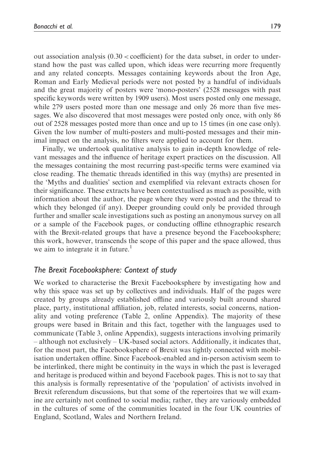out association analysis (0.30 < coefficient) for the data subset, in order to understand how the past was called upon, which ideas were recurring more frequently and any related concepts. Messages containing keywords about the Iron Age, Roman and Early Medieval periods were not posted by a handful of individuals and the great majority of posters were 'mono-posters' (2528 messages with past specific keywords were written by 1909 users). Most users posted only one message, while 279 users posted more than one message and only 26 more than five messages. We also discovered that most messages were posted only once, with only 86 out of 2528 messages posted more than once and up to 15 times (in one case only). Given the low number of multi-posters and multi-posted messages and their minimal impact on the analysis, no filters were applied to account for them.

Finally, we undertook qualitative analysis to gain in-depth knowledge of relevant messages and the influence of heritage expert practices on the discussion. All the messages containing the most recurring past-specific terms were examined via close reading. The thematic threads identified in this way (myths) are presented in the 'Myths and dualities' section and exemplified via relevant extracts chosen for their significance. These extracts have been contextualised as much as possible, with information about the author, the page where they were posted and the thread to which they belonged (if any). Deeper grounding could only be provided through further and smaller scale investigations such as posting an anonymous survey on all or a sample of the Facebook pages, or conducting offline ethnographic research with the Brexit-related groups that have a presence beyond the Facebooksphere; this work, however, transcends the scope of this paper and the space allowed, thus we aim to integrate it in future.<sup>1</sup>

#### The Brexit Facebooksphere: Context of study

We worked to characterise the Brexit Facebooksphere by investigating how and why this space was set up by collectives and individuals. Half of the pages were created by groups already established offline and variously built around shared place, party, institutional affiliation, job, related interests, social concerns, nationality and voting preference (Table 2, online Appendix). The majority of these groups were based in Britain and this fact, together with the languages used to communicate (Table 3, online Appendix), suggests interactions involving primarily – although not exclusively – UK-based social actors. Additionally, it indicates that, for the most part, the Facebooksphere of Brexit was tightly connected with mobilisation undertaken offline. Since Facebook-enabled and in-person activism seem to be interlinked, there might be continuity in the ways in which the past is leveraged and heritage is produced within and beyond Facebook pages. This is not to say that this analysis is formally representative of the 'population' of activists involved in Brexit referendum discussions, but that some of the repertoires that we will examine are certainly not confined to social media; rather, they are variously embedded in the cultures of some of the communities located in the four UK countries of England, Scotland, Wales and Northern Ireland.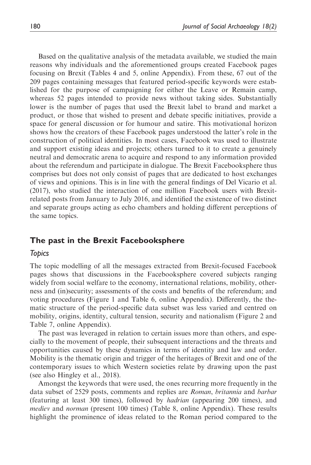Based on the qualitative analysis of the metadata available, we studied the main reasons why individuals and the aforementioned groups created Facebook pages focusing on Brexit (Tables 4 and 5, online Appendix). From these, 67 out of the 209 pages containing messages that featured period-specific keywords were established for the purpose of campaigning for either the Leave or Remain camp, whereas 52 pages intended to provide news without taking sides. Substantially lower is the number of pages that used the Brexit label to brand and market a product, or those that wished to present and debate specific initiatives, provide a space for general discussion or for humour and satire. This motivational horizon shows how the creators of these Facebook pages understood the latter's role in the construction of political identities. In most cases, Facebook was used to illustrate and support existing ideas and projects; others turned to it to create a genuinely neutral and democratic arena to acquire and respond to any information provided about the referendum and participate in dialogue. The Brexit Facebooksphere thus comprises but does not only consist of pages that are dedicated to host exchanges of views and opinions. This is in line with the general findings of Del Vicario et al. (2017), who studied the interaction of one million Facebook users with Brexitrelated posts from January to July 2016, and identified the existence of two distinct and separate groups acting as echo chambers and holding different perceptions of the same topics.

# The past in the Brexit Facebooksphere

#### **Topics**

The topic modelling of all the messages extracted from Brexit-focused Facebook pages shows that discussions in the Facebooksphere covered subjects ranging widely from social welfare to the economy, international relations, mobility, otherness and (in)security; assessments of the costs and benefits of the referendum; and voting procedures (Figure 1 and Table 6, online Appendix). Differently, the thematic structure of the period-specific data subset was less varied and centred on mobility, origins, identity, cultural tension, security and nationalism (Figure 2 and Table 7, online Appendix).

The past was leveraged in relation to certain issues more than others, and especially to the movement of people, their subsequent interactions and the threats and opportunities caused by these dynamics in terms of identity and law and order. Mobility is the thematic origin and trigger of the heritages of Brexit and one of the contemporary issues to which Western societies relate by drawing upon the past (see also Hingley et al., 2018).

Amongst the keywords that were used, the ones recurring more frequently in the data subset of 2529 posts, comments and replies are *Roman, britannia* and *barbar* (featuring at least 300 times), followed by hadrian (appearing 200 times), and *mediev* and *norman* (present 100 times) (Table 8, online Appendix). These results highlight the prominence of ideas related to the Roman period compared to the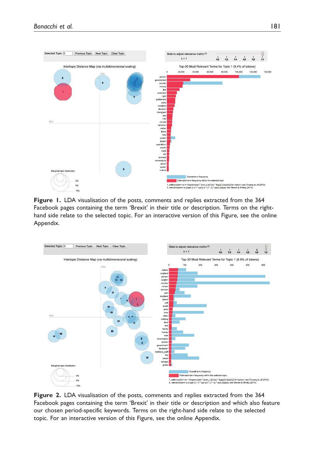

Figure 1. LDA visualisation of the posts, comments and replies extracted from the 364 Facebook pages containing the term 'Brexit' in their title or description. Terms on the righthand side relate to the selected topic. For an interactive version of this Figure, see the online Appendix.



Figure 2. LDA visualisation of the posts, comments and replies extracted from the 364 Facebook pages containing the term 'Brexit' in their title or description and which also feature our chosen period-specific keywords. Terms on the right-hand side relate to the selected topic. For an interactive version of this Figure, see the online Appendix.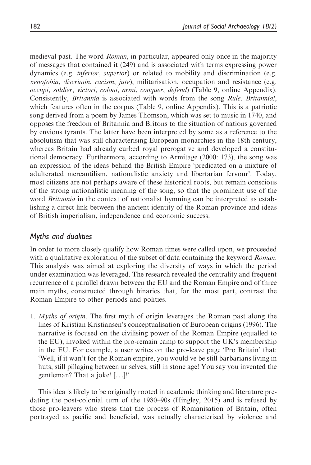medieval past. The word *Roman*, in particular, appeared only once in the majority of messages that contained it (249) and is associated with terms expressing power dynamics (e.g. *inferior, superior*) or related to mobility and discrimination (e.g. xenofobia, discrimin, racism, jute), militarisation, occupation and resistance (e.g. occupi, soldier, victori, coloni, armi, conquer, defend) (Table 9, online Appendix). Consistently, Britannia is associated with words from the song Rule, Britannia!, which features often in the corpus (Table 9, online Appendix). This is a patriotic song derived from a poem by James Thomson, which was set to music in 1740, and opposes the freedom of Britannia and Britons to the situation of nations governed by envious tyrants. The latter have been interpreted by some as a reference to the absolutism that was still characterising European monarchies in the 18th century, whereas Britain had already curbed royal prerogative and developed a constitutional democracy. Furthermore, according to Armitage (2000: 173), the song was an expression of the ideas behind the British Empire 'predicated on a mixture of adulterated mercantilism, nationalistic anxiety and libertarian fervour'. Today, most citizens are not perhaps aware of these historical roots, but remain conscious of the strong nationalistic meaning of the song, so that the prominent use of the word *Britannia* in the context of nationalist hymning can be interpreted as establishing a direct link between the ancient identity of the Roman province and ideas of British imperialism, independence and economic success.

# Myths and dualities

In order to more closely qualify how Roman times were called upon, we proceeded with a qualitative exploration of the subset of data containing the keyword *Roman*. This analysis was aimed at exploring the diversity of ways in which the period under examination was leveraged. The research revealed the centrality and frequent recurrence of a parallel drawn between the EU and the Roman Empire and of three main myths, constructed through binaries that, for the most part, contrast the Roman Empire to other periods and polities.

1. Myths of origin. The first myth of origin leverages the Roman past along the lines of Kristian Kristiansen's conceptualisation of European origins (1996). The narrative is focused on the civilising power of the Roman Empire (equalled to the EU), invoked within the pro-remain camp to support the UK's membership in the EU. For example, a user writes on the pro-leave page 'Pro Britain' that: 'Well, if it wan't for the Roman empire, you would ve be still barbarians living in huts, still pillaging between ur selves, still in stone age! You say you invented the gentleman? That a joke! [...]!'

This idea is likely to be originally rooted in academic thinking and literature predating the post-colonial turn of the 1980–90s (Hingley, 2015) and is refused by those pro-leavers who stress that the process of Romanisation of Britain, often portrayed as pacific and beneficial, was actually characterised by violence and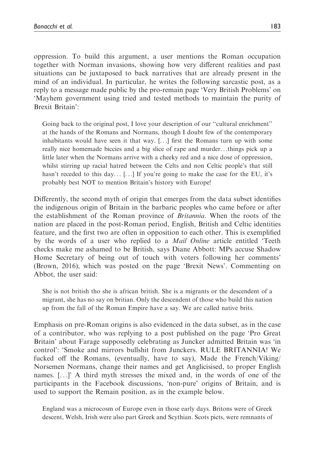oppression. To build this argument, a user mentions the Roman occupation together with Norman invasions, showing how very different realities and past situations can be juxtaposed to back narratives that are already present in the mind of an individual. In particular, he writes the following sarcastic post, as a reply to a message made public by the pro-remain page 'Very British Problems' on 'Mayhem government using tried and tested methods to maintain the purity of Brexit Britain':

Going back to the original post, I love your description of our ''cultural enrichment'' at the hands of the Romans and Normans, though I doubt few of the contemporary inhabitants would have seen it that way. [...] first the Romans turn up with some really nice homemade biccies and a big slice of rape and murder...things pick up a little later when the Normans arrive with a cheeky red and a nice dose of oppression, whilst stirring up racial hatred between the Celts and non Celtic people's that still hasn't receded to this day...  $[\ldots]$  If you're going to make the case for the EU, it's probably best NOT to mention Britain's history with Europe!

Differently, the second myth of origin that emerges from the data subset identifies the indigenous origin of Britain in the barbaric peoples who came before or after the establishment of the Roman province of Britannia. When the roots of the nation are placed in the post-Roman period, English, British and Celtic identities feature, and the first two are often in opposition to each other. This is exemplified by the words of a user who replied to a *Mail Online* article entitled 'Teeth checks make me ashamed to be British, says Diane Abbott: MPs accuse Shadow Home Secretary of being out of touch with voters following her comments' (Brown, 2016), which was posted on the page 'Brexit News'. Commenting on Abbot, the user said:

She is not british tho she is african british. She is a migrants or the descendent of a migrant, she has no say on britian. Only the descendent of those who build this nation up from the fall of the Roman Empire have a say. We are called native brits.

Emphasis on pre-Roman origins is also evidenced in the data subset, as in the case of a contributor, who was replying to a post published on the page 'Pro Great Britain' about Farage supposedly celebrating as Juncker admitted Britain was 'in control': 'Smoke and mirrors bullshit from Junckers. RULE BRITANNIA! We fucked off the Romans, (eventually, have to say), Made the French/Viking/ Norsemen Normans, change their names and get Anglicisised, to proper English names. [...]' A third myth stresses the mixed and, in the words of one of the participants in the Facebook discussions, 'non-pure' origins of Britain, and is used to support the Remain position, as in the example below.

England was a microcosm of Europe even in those early days. Britons were of Greek descent, Welsh, Irish were also part Greek and Scythian. Scots picts, were remnants of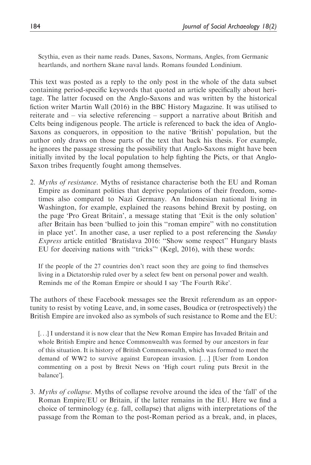Scythia, even as their name reads. Danes, Saxons, Normans, Angles, from Germanic heartlands, and northern Skane naval lands. Romans founded Londinium.

This text was posted as a reply to the only post in the whole of the data subset containing period-specific keywords that quoted an article specifically about heritage. The latter focused on the Anglo-Saxons and was written by the historical fiction writer Martin Wall (2016) in the BBC History Magazine. It was utilised to reiterate and – via selective referencing – support a narrative about British and Celts being indigenous people. The article is referenced to back the idea of Anglo-Saxons as conquerors, in opposition to the native 'British' population, but the author only draws on those parts of the text that back his thesis. For example, he ignores the passage stressing the possibility that Anglo-Saxons might have been initially invited by the local population to help fighting the Picts, or that Anglo-Saxon tribes frequently fought among themselves.

2. *Myths of resistance*. Myths of resistance characterise both the EU and Roman Empire as dominant polities that deprive populations of their freedom, sometimes also compared to Nazi Germany. An Indonesian national living in Washington, for example, explained the reasons behind Brexit by posting, on the page 'Pro Great Britain', a message stating that 'Exit is the only solution' after Britain has been 'bullied to join this ''roman empire'' with no constitution in place yet'. In another case, a user replied to a post referencing the *Sunday* Express article entitled 'Bratislava 2016: ''Show some respect'' Hungary blasts EU for deceiving nations with ''tricks''' (Kegl, 2016), with these words:

If the people of the 27 countries don't react soon they are going to find themselves living in a Dictatorship ruled over by a select few bent on personal power and wealth. Reminds me of the Roman Empire or should I say 'The Fourth Rike'.

The authors of these Facebook messages see the Brexit referendum as an opportunity to resist by voting Leave, and, in some cases, Boudica or (retrospectively) the British Empire are invoked also as symbols of such resistance to Rome and the EU:

[...] I understand it is now clear that the New Roman Empire has Invaded Britain and whole British Empire and hence Commonwealth was formed by our ancestors in fear of this situation. It is history of British Commonwealth, which was formed to meet the demand of WW2 to survive against European invasion. [...] [User from London commenting on a post by Brexit News on 'High court ruling puts Brexit in the balance'].

3. Myths of collapse. Myths of collapse revolve around the idea of the 'fall' of the Roman Empire/EU or Britain, if the latter remains in the EU. Here we find a choice of terminology (e.g. fall, collapse) that aligns with interpretations of the passage from the Roman to the post-Roman period as a break, and, in places,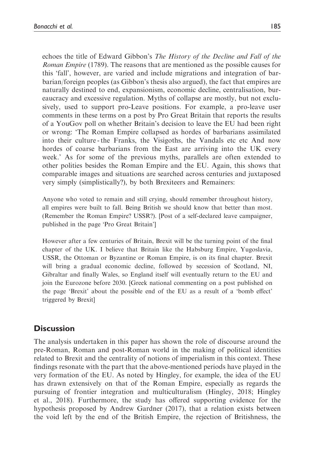echoes the title of Edward Gibbon's The History of the Decline and Fall of the Roman Empire (1789). The reasons that are mentioned as the possible causes for this 'fall', however, are varied and include migrations and integration of barbarian/foreign peoples (as Gibbon's thesis also argued), the fact that empires are naturally destined to end, expansionism, economic decline, centralisation, bureaucracy and excessive regulation. Myths of collapse are mostly, but not exclusively, used to support pro-Leave positions. For example, a pro-leave user comments in these terms on a post by Pro Great Britain that reports the results of a YouGov poll on whether Britain's decision to leave the EU had been right or wrong: 'The Roman Empire collapsed as hordes of barbarians assimilated into their culture - the Franks, the Visigoths, the Vandals etc etc And now hordes of coarse barbarians from the East are arriving into the UK every week.' As for some of the previous myths, parallels are often extended to other polities besides the Roman Empire and the EU. Again, this shows that comparable images and situations are searched across centuries and juxtaposed very simply (simplistically?), by both Brexiteers and Remainers:

Anyone who voted to remain and still crying, should remember throughout history, all empires were built to fall. Being British we should know that better than most. (Remember the Roman Empire? USSR?). [Post of a self-declared leave campaigner, published in the page 'Pro Great Britain']

However after a few centuries of Britain, Brexit will be the turning point of the final chapter of the UK. I believe that Britain like the Habsburg Empire, Yugoslavia, USSR, the Ottoman or Byzantine or Roman Empire, is on its final chapter. Brexit will bring a gradual economic decline, followed by secession of Scotland, NI, Gibraltar and finally Wales, so England itself will eventually return to the EU and join the Eurozone before 2030. [Greek national commenting on a post published on the page 'Brexit' about the possible end of the EU as a result of a 'bomb effect' triggered by Brexit]

# **Discussion**

The analysis undertaken in this paper has shown the role of discourse around the pre-Roman, Roman and post-Roman world in the making of political identities related to Brexit and the centrality of notions of imperialism in this context. These findings resonate with the part that the above-mentioned periods have played in the very formation of the EU. As noted by Hingley, for example, the idea of the EU has drawn extensively on that of the Roman Empire, especially as regards the pursuing of frontier integration and multiculturalism (Hingley, 2018; Hingley et al., 2018). Furthermore, the study has offered supporting evidence for the hypothesis proposed by Andrew Gardner (2017), that a relation exists between the void left by the end of the British Empire, the rejection of Britishness, the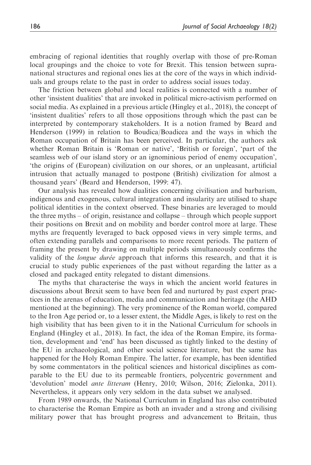embracing of regional identities that roughly overlap with those of pre-Roman local groupings and the choice to vote for Brexit. This tension between supranational structures and regional ones lies at the core of the ways in which individuals and groups relate to the past in order to address social issues today.

The friction between global and local realities is connected with a number of other 'insistent dualities' that are invoked in political micro-activism performed on social media. As explained in a previous article (Hingley et al., 2018), the concept of 'insistent dualities' refers to all those oppositions through which the past can be interpreted by contemporary stakeholders. It is a notion framed by Beard and Henderson (1999) in relation to Boudica/Boadicea and the ways in which the Roman occupation of Britain has been perceived. In particular, the authors ask whether Roman Britain is 'Roman or native', 'British or foreign', 'part of the seamless web of our island story or an ignominious period of enemy occupation', 'the origins of (European) civilization on our shores, or an unpleasant, artificial intrusion that actually managed to postpone (British) civilization for almost a thousand years' (Beard and Henderson, 1999: 47).

Our analysis has revealed how dualities concerning civilisation and barbarism, indigenous and exogenous, cultural integration and insularity are utilised to shape political identities in the context observed. These binaries are leveraged to mould the three myths – of origin, resistance and collapse – through which people support their positions on Brexit and on mobility and border control more at large. These myths are frequently leveraged to back opposed views in very simple terms, and often extending parallels and comparisons to more recent periods. The pattern of framing the present by drawing on multiple periods simultaneously confirms the validity of the *longue durée* approach that informs this research, and that it is crucial to study public experiences of the past without regarding the latter as a closed and packaged entity relegated to distant dimensions.

The myths that characterise the ways in which the ancient world features in discussions about Brexit seem to have been fed and nurtured by past expert practices in the arenas of education, media and communication and heritage (the AHD mentioned at the beginning). The very prominence of the Roman world, compared to the Iron Age period or, to a lesser extent, the Middle Ages, is likely to rest on the high visibility that has been given to it in the National Curriculum for schools in England (Hingley et al., 2018). In fact, the idea of the Roman Empire, its formation, development and 'end' has been discussed as tightly linked to the destiny of the EU in archaeological, and other social science literature, but the same has happened for the Holy Roman Empire. The latter, for example, has been identified by some commentators in the political sciences and historical disciplines as comparable to the EU due to its permeable frontiers, polycentric government and 'devolution' model ante litteram (Henry, 2010; Wilson, 2016; Zielonka, 2011). Nevertheless, it appears only very seldom in the data subset we analysed.

From 1989 onwards, the National Curriculum in England has also contributed to characterise the Roman Empire as both an invader and a strong and civilising military power that has brought progress and advancement to Britain, thus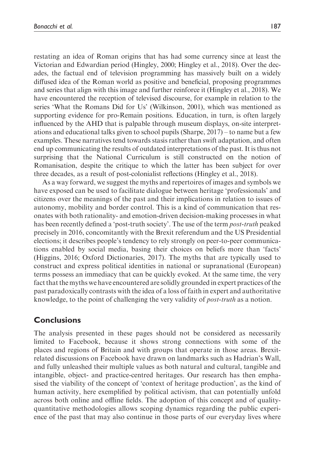restating an idea of Roman origins that has had some currency since at least the Victorian and Edwardian period (Hingley, 2000; Hingley et al., 2018). Over the decades, the factual end of television programming has massively built on a widely diffused idea of the Roman world as positive and beneficial, proposing programmes and series that align with this image and further reinforce it (Hingley et al., 2018). We have encountered the reception of televised discourse, for example in relation to the series 'What the Romans Did for Us' (Wilkinson, 2001), which was mentioned as supporting evidence for pro-Remain positions. Education, in turn, is often largely influenced by the AHD that is palpable through museum displays, on-site interpretations and educational talks given to school pupils (Sharpe, 2017) – to name but a few examples. These narratives tend towards stasis rather than swift adaptation, and often end up communicating the results of outdated interpretations of the past. It is thus not surprising that the National Curriculum is still constructed on the notion of Romanisation, despite the critique to which the latter has been subject for over three decades, as a result of post-colonialist reflections (Hingley et al., 2018).

As a way forward, we suggest the myths and repertoires of images and symbols we have exposed can be used to facilitate dialogue between heritage 'professionals' and citizens over the meanings of the past and their implications in relation to issues of autonomy, mobility and border control. This is a kind of communication that resonates with both rationality- and emotion-driven decision-making processes in what has been recently defined a 'post-truth society'. The use of the term *post-truth* peaked precisely in 2016, concomitantly with the Brexit referendum and the US Presidential elections; it describes people's tendency to rely strongly on peer-to-peer communications enabled by social media, basing their choices on beliefs more than 'facts' (Higgins, 2016; Oxford Dictionaries, 2017). The myths that are typically used to construct and express political identities in national or supranational (European) terms possess an immediacy that can be quickly evoked. At the same time, the very fact that the myths we have encountered are solidly grounded in expert practices of the past paradoxically contrasts with the idea of a loss of faith in expert and authoritative knowledge, to the point of challenging the very validity of *post-truth* as a notion.

# **Conclusions**

The analysis presented in these pages should not be considered as necessarily limited to Facebook, because it shows strong connections with some of the places and regions of Britain and with groups that operate in those areas. Brexitrelated discussions on Facebook have drawn on landmarks such as Hadrian's Wall, and fully unleashed their multiple values as both natural and cultural, tangible and intangible, object- and practice-centred heritages. Our research has then emphasised the viability of the concept of 'context of heritage production', as the kind of human activity, here exemplified by political activism, that can potentially unfold across both online and offline fields. The adoption of this concept and of qualityquantitative methodologies allows scoping dynamics regarding the public experience of the past that may also continue in those parts of our everyday lives where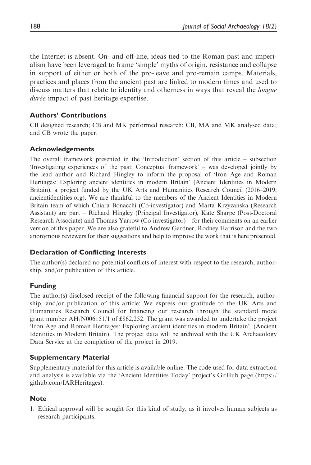the Internet is absent. On- and off-line, ideas tied to the Roman past and imperialism have been leveraged to frame 'simple' myths of origin, resistance and collapse in support of either or both of the pro-leave and pro-remain camps. Materials, practices and places from the ancient past are linked to modern times and used to discuss matters that relate to identity and otherness in ways that reveal the *longue* durée impact of past heritage expertise.

#### Authors' Contributions

CB designed research; CB and MK performed research; CB, MA and MK analysed data; and CB wrote the paper.

#### Acknowledgements

The overall framework presented in the 'Introduction' section of this article – subsection 'Investigating experiences of the past: Conceptual framework' – was developed jointly by the lead author and Richard Hingley to inform the proposal of 'Iron Age and Roman Heritages: Exploring ancient identities in modern Britain' (Ancient Identities in Modern Britain), a project funded by the UK Arts and Humanities Research Council (2016–2019; ancientidentities.org). We are thankful to the members of the Ancient Identities in Modern Britain team of which Chiara Bonacchi (Co-investigator) and Marta Krzyzanska (Research Assistant) are part – Richard Hingley (Principal Investigator), Kate Sharpe (Post-Doctoral Research Associate) and Thomas Yarrow (Co-investigator) – for their comments on an earlier version of this paper. We are also grateful to Andrew Gardner, Rodney Harrison and the two anonymous reviewers for their suggestions and help to improve the work that is here presented.

# Declaration of Conflicting Interests

The author(s) declared no potential conflicts of interest with respect to the research, authorship, and/or publication of this article.

# Funding

The author(s) disclosed receipt of the following financial support for the research, authorship, and/or publication of this article: We express our gratitude to the UK Arts and Humanities Research Council for financing our research through the standard mode grant number AH/N006151/1 of £862,252. The grant was awarded to undertake the project 'Iron Age and Roman Heritages: Exploring ancient identities in modern Britain', (Ancient Identities in Modern Britain). The project data will be archived with the UK Archaeology Data Service at the completion of the project in 2019.

# Supplementary Material

Supplementary material for this article is available online. The code used for data extraction and analysis is available via the 'Ancient Identities Today' project's GitHub page (https:// github.com/IARHeritages).

# **Note**

1. Ethical approval will be sought for this kind of study, as it involves human subjects as research participants.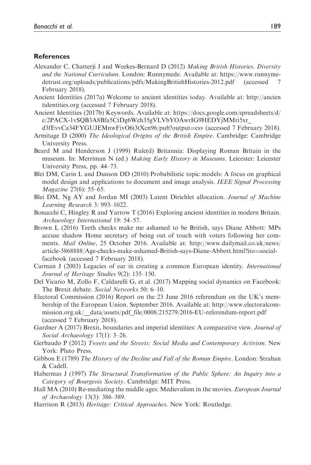#### **References**

- Alexander C, Chatterji J and Weekes-Bernard D (2012) Making British Histories. Diversity and the National Curriculum. London: Runnymede. Available at: https://www.runnymedetrust.org/uploads/publications/pdfs/MakingBritishHistories-2012.pdf (accessed 7 February 2018).
- Ancient Identities (2017a) Welcome to ancient identities today. Available at: http://ancien tidentities.org (accessed 7 February 2018).
- Ancient Identities (2017b) Keywords. Available at: https://docs.google.com/spreadsheets/d/ e/2PACX-1vSQB3A8Bfa5CtDg6Weh35gVLVbYOAwrIG9HEDYjMMri5xr\_

d3fEvvCa34FYGUJEMnwFivO6i3tXcn96/pub?output=csv (accessed 7 February 2018).

- Armitage D (2000) The Ideological Origins of the British Empire. Cambridge: Cambridge University Press.
- Beard M and Henderson J (1999) Rule(d) Britannia: Displaying Roman Britain in the museum. In: Merriman N (ed.) Making Early History in Museums. Leicester: Leicester University Press, pp. 44–73.
- Blei DM, Carin L and Dunson DD (2010) Probabilistic topic models: A focus on graphical model design and applications to document and image analysis. IEEE Signal Processing Magazine 27(6): 55–65.
- Blei DM, Ng AY and Jordan MI (2003) Latent Dirichlet allocation. Journal of Machine Learning Research 3: 993–1022.
- Bonacchi C, Hingley R and Yarrow T (2016) Exploring ancient identities in modern Britain. Archaeology International 19: 54–57.
- Brown L (2016) Teeth checks make me ashamed to be British, says Diane Abbott: MPs accuse shadow Home secretary of being out of touch with voters following her comments. Mail Online, 25 October 2016. Available at: http://www.dailymail.co.uk/news/ article-3868888/Age-checks-make-ashamed-British-says-Diane-Abbott.html?ito=socialfacebook (accessed 7 February 2018).
- Carman J (2003) Legacies of ear in creating a common European identity. International Journal of Heritage Studies 9(2): 135–150.
- Del Vicario M, Zollo F, Caldarelli G, et al. (2017) Mapping social dynamics on Facebook: The Brexit debate. Social Networks 50: 6–10.
- Electoral Commission (2016) Report on the 23 June 2016 referendum on the UK's membership of the European Union. September 2016. Available at: http://www.electoralcommission.org.uk/\_\_data/assets/pdf\_file/0008/215279/2016-EU-referendum-report.pdf (accessed 7 February 2018).
- Gardner A (2017) Brexit, boundaries and imperial identities: A comparative view. Journal of Social Archaeology 17(1): 3–26.
- Gerbaudo P (2012) Tweets and the Streets: Social Media and Contemporary Activism. New York: Pluto Press.
- Gibbon E (1789) The History of the Decline and Fall of the Roman Empire. London: Strahan & Cadell.
- Habermas J (1997) The Structural Transformation of the Public Sphere: An Inquiry into a Category of Bourgeois Society. Cambridge: MIT Press.
- Hall MA (2010) Re-mediating the middle ages: Medievalism in the movies. European Journal of Archaeology 13(3): 386–389.
- Harrison R (2013) Heritage: Critical Approaches. New York: Routledge.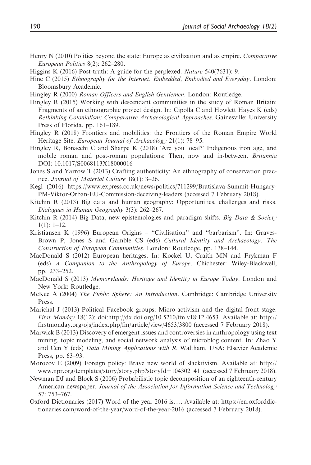- Henry N (2010) Politics beyond the state: Europe as civilization and as empire. Comparative European Politics 8(2): 262–280.
- Higgins K (2016) Post-truth: A guide for the perplexed. Nature 540(7631): 9.
- Hine C (2015) Ethnography for the Internet. Embedded, Embodied and Everyday. London: Bloomsbury Academic.
- Hingley R (2000) Roman Officers and English Gentlemen. London: Routledge.
- Hingley R (2015) Working with descendant communities in the study of Roman Britain: Fragments of an ethnographic project design. In: Cipolla C and Howlett Hayes K (eds) Rethinking Colonialism: Comparative Archaeological Approaches. Gainesville: University Press of Florida, pp. 161–189.
- Hingley R (2018) Frontiers and mobilities: the Frontiers of the Roman Empire World Heritage Site. European Journal of Archaeology 21(1): 78–95.
- Hingley R, Bonacchi C and Sharpe K (2018) 'Are you local?' Indigenous iron age, and mobile roman and post-roman populations: Then, now and in-between. *Britannia* DOI: 10.1017/S0068113X18000016
- Jones S and Yarrow T (2013) Crafting authenticity: An ethnography of conservation practice. Journal of Material Culture 18(1): 3–26.
- Kegl (2016) https://www.express.co.uk/news/politics/711299/Bratislava-Summit-Hungary-PM-Viktor-Orban-EU-Commission-deceiving-leaders (accessed 7 February 2018).
- Kitchin R (2013) Big data and human geography: Opportunities, challenges and risks. Dialogues in Human Geography 3(3): 262–267.
- Kitchin R (2014) Big Data, new epistemologies and paradigm shifts. Big Data  $\&$  Society  $1(1): 1-12.$
- Kristiansen K (1996) European Origins ''Civilisation'' and ''barbarism''. In: Graves-Brown P, Jones S and Gamble CS (eds) Cultural Identity and Archaeology: The Construction of European Communities. London: Routledge, pp. 138–144.
- MacDonald S (2012) European heritages. In: Kockel U, Craith MN and Frykman F (eds) A Companion to the Anthropology of Europe. Chichester: Wiley-Blackwell, pp. 233–252.
- MacDonald S (2013) Memorylands: Heritage and Identity in Europe Today. London and New York: Routledge.
- McKee A (2004) The Public Sphere: An Introduction. Cambridge: Cambridge University Press.
- Marichal J (2013) Political Facebook groups: Micro-activism and the digital front stage. First Monday 18(12): doi:http://dx.doi.org/10.5210/fm.v18i12.4653. Available at: http:// firstmonday.org/ojs/index.php/fm/article/view/4653/3800 (accessed 7 February 2018).
- Marwick B (2013) Discovery of emergent issues and controversies in anthropology using text mining, topic modeling, and social network analysis of microblog content. In: Zhao Y and Cen Y (eds) Data Mining Applications with R. Waltham, USA: Elsevier Academic Press, pp. 63–93.
- Morozov E (2009) Foreign policy: Brave new world of slacktivism. Available at: http:// www.npr.org/templates/story/story.php?storyId=104302141 (accessed 7 February 2018).
- Newman DJ and Block S (2006) Probabilistic topic decomposition of an eighteenth-century American newspaper. Journal of the Association for Information Science and Technology 57: 753–767.
- Oxford Dictionaries (2017) Word of the year 2016 is.... Available at: https://en.oxforddictionaries.com/word-of-the-year/word-of-the-year-2016 (accessed 7 February 2018).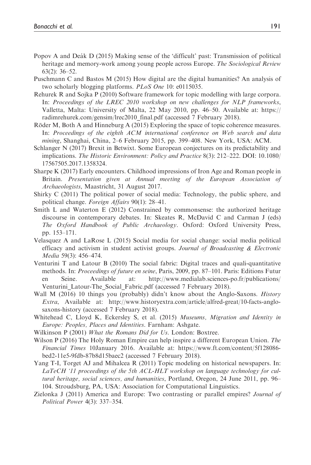- Popov A and Deák D (2015) Making sense of the 'difficult' past: Transmission of political heritage and memory-work among young people across Europe. The Sociological Review 63(2): 36–52.
- Puschmann C and Bastos M (2015) How digital are the digital humanities? An analysis of two scholarly blogging platforms. PLoS One 10: e0115035.
- Rehurek R and Sojka P (2010) Software framework for topic modelling with large corpora. In: Proceedings of the LREC 2010 workshop on new challenges for NLP frameworks, Valletta, Malta: University of Malta, 22 May 2010, pp. 46–50. Available at: https:// radimrehurek.com/gensim/lrec2010\_final.pdf (accessed 7 February 2018).
- Röder M, Both A and Hinneburg A (2015) Exploring the space of topic coherence measures. In: Proceedings of the eighth ACM international conference on Web search and data mining, Shanghai, China, 2–6 February 2015, pp. 399–408. New York, USA: ACM.
- Schlanger N (2017) Brexit in Betwixt. Some European conjectures on its predictability and implications. The Historic Environment: Policy and Practice 8(3): 212–222. DOI: 10.1080/ 17567505.2017.1358324.
- Sharpe K (2017) Early encounters. Childhood impressions of Iron Age and Roman people in Britain. Presentation given at Annual meeting of the European Association of Archaeologists, Maastricht, 31 August 2017.
- Shirky C (2011) The political power of social media: Technology, the public sphere, and political change. Foreign Affairs 90(1): 28–41.
- Smith L and Waterton E (2012) Constrained by commonsense: the authorized heritage discourse in contemporary debates. In: Skeates R, McDavid C and Carman J (eds) The Oxford Handbook of Public Archaeology. Oxford: Oxford University Press, pp. 153–171.
- Velasquez A and LaRose L (2015) Social media for social change: social media political efficacy and activism in student activist groups. Journal of Broadcasting & Electronic Media 59(3): 456–474.
- Venturini T and Latour B (2010) The social fabric: Digital traces and quali-quantitative methods. In: Proceedings of future en seine, Paris, 2009, pp. 87–101. Paris: Editions Futur en Seine. Available at: http://www.medialab.sciences-po.fr/publications/ Venturini\_Latour-The\_Social\_Fabric.pdf (accessed 7 February 2018).
- Wall M (2016) 10 things you (probably) didn't know about the Anglo-Saxons. *History* Extra, Available at: http://www.historyextra.com/article/alfred-great/10-facts-anglosaxons-history (accessed 7 February 2018).
- Whitehead C, Lloyd K, Eckersley S, et al. (2015) Museums, Migration and Identity in Europe: Peoples, Places and Identities. Farnham: Ashgate.
- Wilkinson P (2001) *What the Romans Did for Us.* London: Boxtree.
- Wilson P (2016) The Holy Roman Empire can help inspire a different European Union. The Financial Times 10January 2016. Available at: https://www.ft.com/content/5f128086 bed2-11e5-9fdb-87b8d15baec2 (accessed 7 February 2018).
- Yang T-I, Torget AJ and Mihalcea R (2011) Topic modeling on historical newspapers. In: LaTeCH '11 proceedings of the 5th ACL-HLT workshop on language technology for cultural heritage, social sciences, and humanities, Portland, Oregon, 24 June 2011, pp. 96– 104. Stroudsburg, PA, USA: Association for Computational Linguistics.
- Zielonka J (2011) America and Europe: Two contrasting or parallel empires? Journal of Political Power 4(3): 337–354.